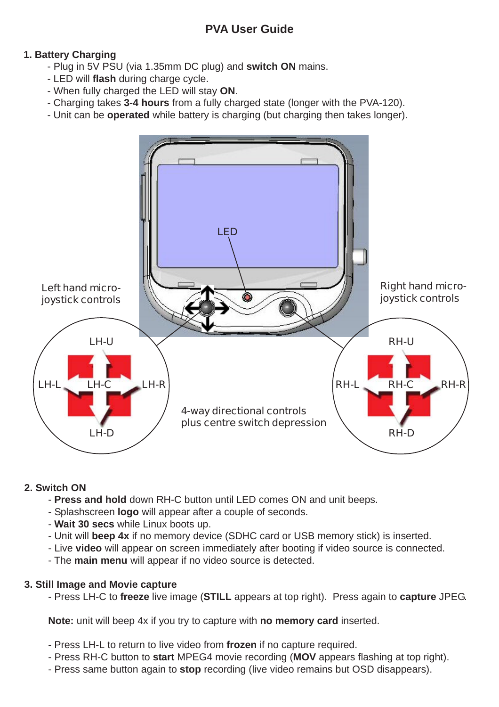# **1. Battery Charging**

- Plug in 5V PSU (via 1.35mm DC plug) and **switch ON** mains.
- LED will **flash** during charge cycle.
- When fully charged the LED will stay **ON**.
- Charging takes **3-4 hours** from a fully charged state (longer with the PVA-120).
- Unit can be **operated** while battery is charging (but charging then takes longer).



## **2. Switch ON**

- **Press and hold** down RH-C button until LED comes ON and unit beeps.
- Splashscreen **logo** will appear after a couple of seconds.
- **Wait 30 secs** while Linux boots up.
- Unit will **beep 4x** if no memory device (SDHC card or USB memory stick) is inserted.
- Live **video** will appear on screen immediately after booting if video source is connected.
- The **main menu** will appear if no video source is detected.

## **3. Still Image and Movie capture**

- Press LH-C to **freeze** live image (**STILL** appears at top right). Press again to **capture** JPEG.

**Note:** unit will beep 4x if you try to capture with **no memory card** inserted.

- Press LH-L to return to live video from **frozen** if no capture required.
- Press RH-C button to **start** MPEG4 movie recording (**MOV** appears flashing at top right).
- Press same button again to **stop** recording (live video remains but OSD disappears).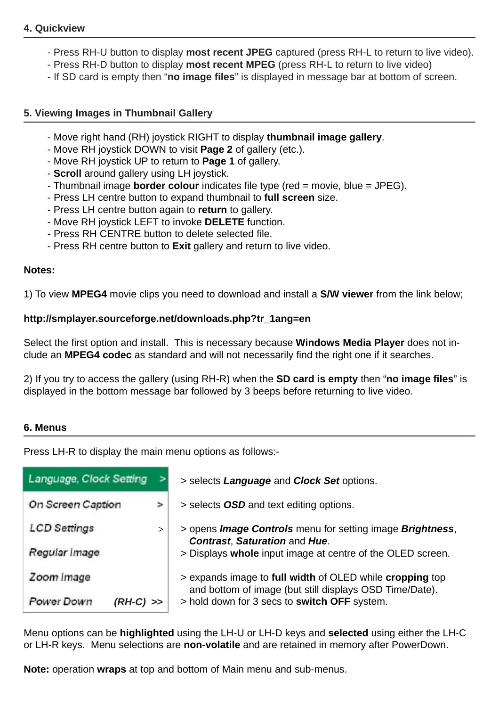## **4. Quickview**

- Press RH-U button to display **most recent JPEG** captured (press RH-L to return to live video).
- Press RH-D button to display **most recent MPEG** (press RH-L to return to live video)
- If SD card is empty then "**no image files**" is displayed in message bar at bottom of screen.

## **5. Viewing Images in Thumbnail Gallery**

- Move right hand (RH) joystick RIGHT to display **thumbnail image gallery**.
- Move RH joystick DOWN to visit **Page 2** of gallery (etc.).
- Move RH joystick UP to return to **Page 1** of gallery.
- **Scroll** around gallery using LH joystick.
- Thumbnail image **border colour** indicates file type (red = movie, blue = JPEG).
- Press LH centre button to expand thumbnail to **full screen** size.
- Press LH centre button again to **return** to gallery.
- Move RH joystick LEFT to invoke **DELETE** function.
- Press RH CENTRE button to delete selected file.
- Press RH centre button to **Exit** gallery and return to live video.

#### **Notes:**

1) To view **MPEG4** movie clips you need to download and install a **S/W viewer** from the link below;

### **http://smplayer.sourceforge.net/downloads.php?tr\_1ang=en**

Select the first option and install. This is necessary because **Windows Media Player** does not include an **MPEG4 codec** as standard and will not necessarily find the right one if it searches.

2) If you try to access the gallery (using RH-R) when the **SD card is empty** then "**no image files**" is displayed in the bottom message bar followed by 3 beeps before returning to live video.

## **6. Menus**

Press LH-R to display the main menu options as follows:-

| Language, Clock Setting |   | > selects Language and Clock Set options.                                                                           |
|-------------------------|---|---------------------------------------------------------------------------------------------------------------------|
| On Screen Caption       | ⋗ | > selects OSD and text editing options.                                                                             |
| <b>LCD</b> Settings     | > | > opens <i>Image Controls</i> menu for setting image <i>Brightness</i> ,<br><b>Contrast, Saturation and Hue.</b>    |
| Regular image           |   | > Displays whole input image at centre of the OLED screen.                                                          |
| Zoom Image              |   | > expands image to full width of OLED while cropping top<br>and bottom of image (but still displays OSD Time/Date). |
| Power Down<br>(RH-C) >> |   | > hold down for 3 secs to switch OFF system.                                                                        |

Menu options can be **highlighted** using the LH-U or LH-D keys and **selected** using either the LH-C or LH-R keys. Menu selections are **non-volatile** and are retained in memory after PowerDown.

**Note:** operation **wraps** at top and bottom of Main menu and sub-menus.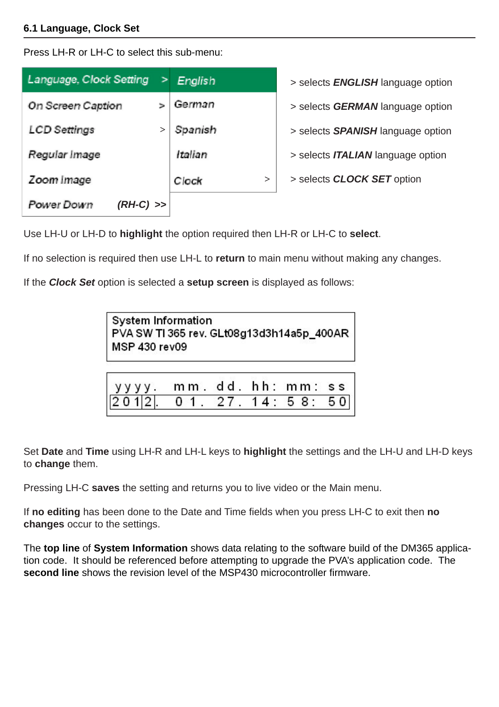### **6.1 Language, Clock Set**

Press LH-R or LH-C to select this sub-menu:

| Language, Clock Setting   | > | English         | > selects <b>ENGLISH</b> language option |
|---------------------------|---|-----------------|------------------------------------------|
| On Screen Caption         |   | German          | > selects <b>GERMAN</b> language option  |
| LCD Settings              |   | Spanish         | > selects <b>SPANISH</b> language option |
| Regular Image             |   | Italian         | > selects <b>ITALIAN</b> language option |
| Zoom Image                |   | Clock<br>$\geq$ | > selects <b>CLOCK SET</b> option        |
| Power Down<br>$(RH-C)$ >> |   |                 |                                          |

Use LH-U or LH-D to **highlight** the option required then LH-R or LH-C to **select**.

If no selection is required then use LH-L to **return** to main menu without making any changes.

If the *Clock Set* option is selected a **setup screen** is displayed as follows:

System Information PVA SW TI 365 rev. GLt08g13d3h14a5p\_400AR MSP 430 rev09

| yyyy. mm.dd.hh:mm:ss.       |  |  |  |
|-----------------------------|--|--|--|
| $[2012]$ 01. 27. 14: 58: 50 |  |  |  |

Set **Date** and **Time** using LH-R and LH-L keys to **highlight** the settings and the LH-U and LH-D keys to **change** them.

Pressing LH-C **saves** the setting and returns you to live video or the Main menu.

If **no editing** has been done to the Date and Time fields when you press LH-C to exit then **no changes** occur to the settings.

The **top line** of **System Information** shows data relating to the software build of the DM365 application code. It should be referenced before attempting to upgrade the PVA's application code. The **second line** shows the revision level of the MSP430 microcontroller firmware.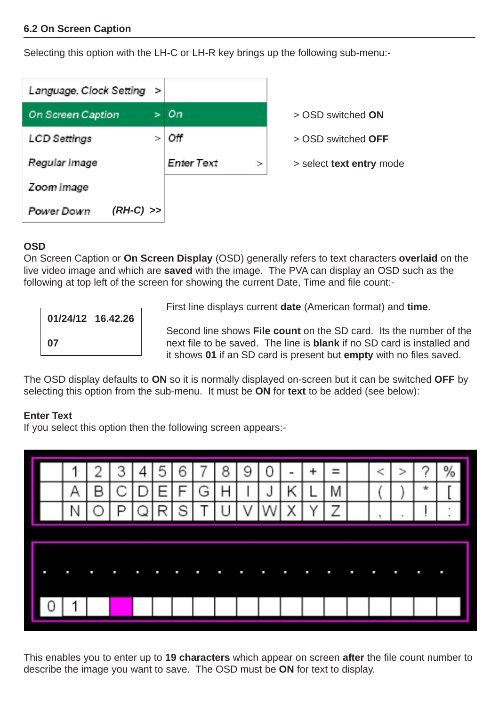### **6.2 On Screen Caption**

Selecting this option with the LH-C or LH-R key brings up the following sub-menu:-

| Language, Clock Setting > |                             |                          |
|---------------------------|-----------------------------|--------------------------|
| On Screen Caption         | On.                         | > OSD switched ON        |
| <b>LCD Settings</b>       | Οff                         | > OSD switched OFF       |
| Regular Image             | <b>Enter Text</b><br>$\geq$ | > select text entry mode |
| Zoom Image                |                             |                          |
| $(RH-C)$ >><br>Power Down |                             |                          |

#### **OSD**

On Screen Caption or **On Screen Display** (OSD) generally refers to text characters **overlaid** on the live video image and which are **saved** with the image. The PVA can display an OSD such as the following at top left of the screen for showing the current Date, Time and file count:-

| 01/24/12 16.42.26 |  |
|-------------------|--|
| 07                |  |

First line displays current **date** (American format) and **time**.

Second line shows **File count** on the SD card. Its the number of the **07** next file to be saved. The line is **blank** if no SD card is installed and it shows **01** if an SD card is present but **empty** with no files saved.

The OSD display defaults to **ON** so it is normally displayed on-screen but it can be switched **OFF** by selecting this option from the sub-menu. It must be **ON** for **text** to be added (see below):

## **Enter Text**

If you select this option then the following screen appears:-



This enables you to enter up to **19 characters** which appear on screen **after** the file count number to describe the image you want to save. The OSD must be **ON** for text to display.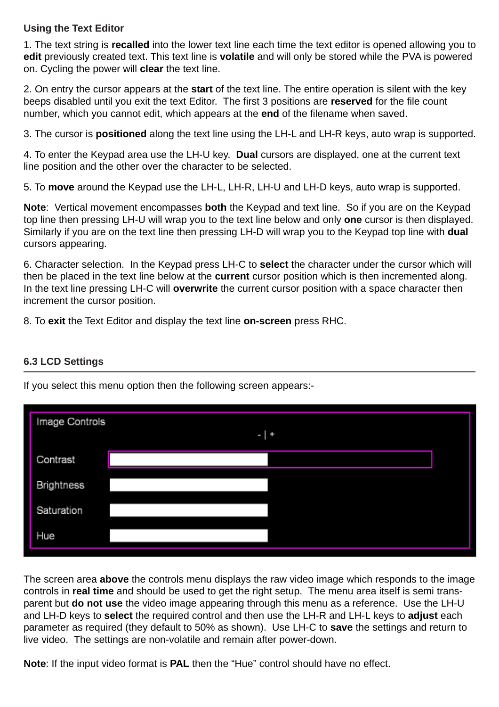## **Using the Text Editor**

1. The text string is **recalled** into the lower text line each time the text editor is opened allowing you to **edit** previously created text. This text line is **volatile** and will only be stored while the PVA is powered on. Cycling the power will **clear** the text line.

2. On entry the cursor appears at the **start** of the text line. The entire operation is silent with the key beeps disabled until you exit the text Editor. The first 3 positions are **reserved** for the file count number, which you cannot edit, which appears at the **end** of the filename when saved.

3. The cursor is **positioned** along the text line using the LH-L and LH-R keys, auto wrap is supported.

4. To enter the Keypad area use the LH-U key. **Dual** cursors are displayed, one at the current text line position and the other over the character to be selected.

5. To **move** around the Keypad use the LH-L, LH-R, LH-U and LH-D keys, auto wrap is supported.

**Note**: Vertical movement encompasses **both** the Keypad and text line. So if you are on the Keypad top line then pressing LH-U will wrap you to the text line below and only **one** cursor is then displayed. Similarly if you are on the text line then pressing LH-D will wrap you to the Keypad top line with **dual** cursors appearing.

6. Character selection. In the Keypad press LH-C to **select** the character under the cursor which will then be placed in the text line below at the **current** cursor position which is then incremented along. In the text line pressing LH-C will **overwrite** the current cursor position with a space character then increment the cursor position.

8. To **exit** the Text Editor and display the text line **on-screen** press RHC.

## **6.3 LCD Settings**

If you select this menu option then the following screen appears:-

| Image Controls    | $-1+$ |  |
|-------------------|-------|--|
| Contrast          |       |  |
| <b>Brightness</b> |       |  |
| Saturation        |       |  |
| Hue               |       |  |

The screen area **above** the controls menu displays the raw video image which responds to the image controls in **real time** and should be used to get the right setup. The menu area itself is semi transparent but **do not use** the video image appearing through this menu as a reference. Use the LH-U and LH-D keys to **select** the required control and then use the LH-R and LH-L keys to **adjust** each parameter as required (they default to 50% as shown). Use LH-C to **save** the settings and return to live video. The settings are non-volatile and remain after power-down.

**Note**: If the input video format is **PAL** then the "Hue" control should have no effect.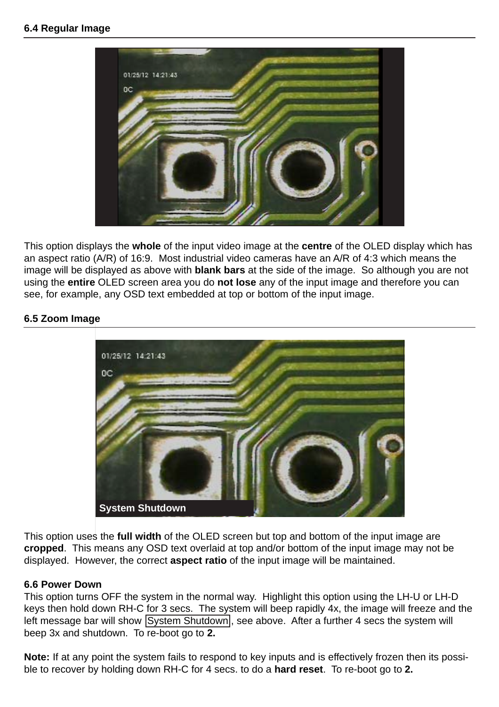#### **6.4 Regular Image**



This option displays the **whole** of the input video image at the **centre** of the OLED display which has an aspect ratio (A/R) of 16:9. Most industrial video cameras have an A/R of 4:3 which means the image will be displayed as above with **blank bars** at the side of the image. So although you are not using the **entire** OLED screen area you do **not lose** any of the input image and therefore you can see, for example, any OSD text embedded at top or bottom of the input image.

### **6.5 Zoom Image**



This option uses the **full width** of the OLED screen but top and bottom of the input image are **cropped**. This means any OSD text overlaid at top and/or bottom of the input image may not be displayed. However, the correct **aspect ratio** of the input image will be maintained.

#### **6.6 Power Down**

This option turns OFF the system in the normal way. Highlight this option using the LH-U or LH-D keys then hold down RH-C for 3 secs. The system will beep rapidly 4x, the image will freeze and the left message bar will show System Shutdown, see above. After a further 4 secs the system will beep 3x and shutdown. To re-boot go to **2.**

**Note:** If at any point the system fails to respond to key inputs and is effectively frozen then its possible to recover by holding down RH-C for 4 secs. to do a **hard reset**. To re-boot go to **2.**